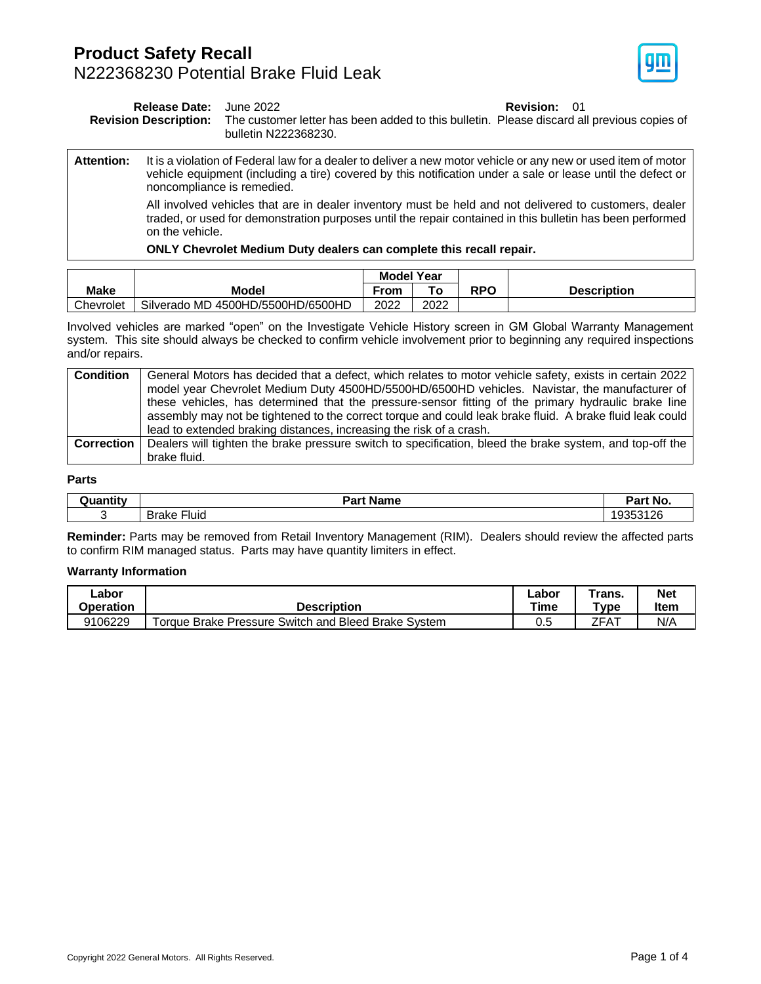### **Product Safety Recall** N222368230 Potential Brake Fluid Leak



| <b>Release Date:</b><br><b>Revision Description:</b> |                                                                                                                                                                                                                                                            | <b>Revision: 01</b><br>June 2022<br>The customer letter has been added to this bulletin. Please discard all previous copies of<br>bulletin N222368230. |  |  |  |
|------------------------------------------------------|------------------------------------------------------------------------------------------------------------------------------------------------------------------------------------------------------------------------------------------------------------|--------------------------------------------------------------------------------------------------------------------------------------------------------|--|--|--|
| <b>Attention:</b>                                    | It is a violation of Federal law for a dealer to deliver a new motor vehicle or any new or used item of motor<br>vehicle equipment (including a tire) covered by this notification under a sale or lease until the defect or<br>noncompliance is remedied. |                                                                                                                                                        |  |  |  |
|                                                      | All involved vehicles that are in dealer inventory must be held and not delivered to customers, dealer<br>traded, or used for demonstration purposes until the repair contained in this bulletin has been performed<br>on the vehicle.                     |                                                                                                                                                        |  |  |  |
|                                                      |                                                                                                                                                                                                                                                            | ONLY Chevrolet Medium Duty dealers can complete this recall repair.                                                                                    |  |  |  |

|             |                                   | <b>Model Year</b> |      |     |                    |
|-------------|-----------------------------------|-------------------|------|-----|--------------------|
| <b>Make</b> | Model                             | From              | ™о   | RPO | <b>Description</b> |
| Chevrolet   | Silverado MD 4500HD/5500HD/6500HD | 2022              | 2022 |     |                    |

Involved vehicles are marked "open" on the Investigate Vehicle History screen in GM Global Warranty Management system. This site should always be checked to confirm vehicle involvement prior to beginning any required inspections and/or repairs.

| <b>Condition</b>  | General Motors has decided that a defect, which relates to motor vehicle safety, exists in certain 2022  |
|-------------------|----------------------------------------------------------------------------------------------------------|
|                   | model year Chevrolet Medium Duty 4500HD/5500HD/6500HD vehicles. Navistar, the manufacturer of            |
|                   | these vehicles, has determined that the pressure-sensor fitting of the primary hydraulic brake line      |
|                   | assembly may not be tightened to the correct torque and could leak brake fluid. A brake fluid leak could |
|                   | lead to extended braking distances, increasing the risk of a crash.                                      |
| <b>Correction</b> | Dealers will tighten the brake pressure switch to specification, bleed the brake system, and top-off the |
|                   | brake fluid.                                                                                             |

#### **Parts**

| Duantitv | <b>Name</b><br>Part      | Dort<br>No.<br>aı. |
|----------|--------------------------|--------------------|
|          | $- \cdot$<br>Brake Fluid | ้.ร.               |

**Reminder:** Parts may be removed from Retail Inventory Management (RIM). Dealers should review the affected parts to confirm RIM managed status. Parts may have quantity limiters in effect.

#### **Warranty Information**

| ∟abor     |                                                     | ∟abor | ⊺rans. | <b>Net</b> |
|-----------|-----------------------------------------------------|-------|--------|------------|
| Operation | <b>Description</b>                                  | Time  | ™vpe   | Item       |
| 9106229   | Torque Brake Pressure Switch and Bleed Brake System | U.5   | ZFAT   | N/A        |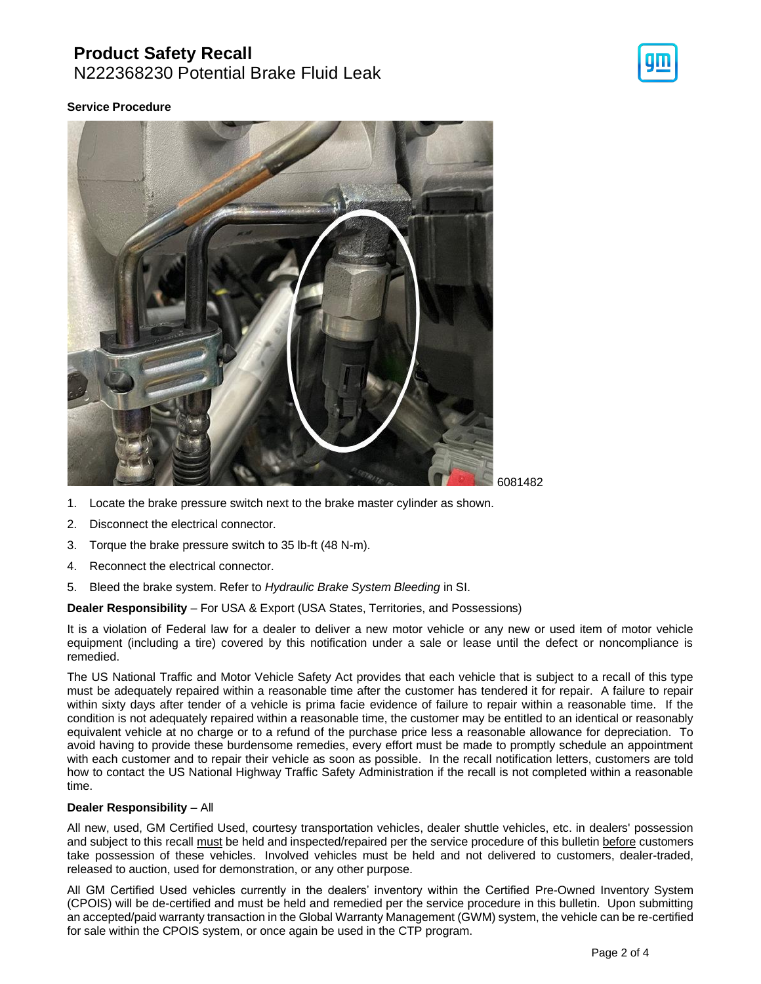## **Product Safety Recall**

N222368230 Potential Brake Fluid Leak

#### **Service Procedure**



- 1. Locate the brake pressure switch next to the brake master cylinder as shown.
- 2. Disconnect the electrical connector.
- 3. Torque the brake pressure switch to 35 lb-ft (48 N-m).
- 4. Reconnect the electrical connector.
- 5. Bleed the brake system. Refer to *Hydraulic Brake System Bleeding* in SI.

#### **Dealer Responsibility** – For USA & Export (USA States, Territories, and Possessions)

It is a violation of Federal law for a dealer to deliver a new motor vehicle or any new or used item of motor vehicle equipment (including a tire) covered by this notification under a sale or lease until the defect or noncompliance is remedied.

The US National Traffic and Motor Vehicle Safety Act provides that each vehicle that is subject to a recall of this type must be adequately repaired within a reasonable time after the customer has tendered it for repair. A failure to repair within sixty days after tender of a vehicle is prima facie evidence of failure to repair within a reasonable time. If the condition is not adequately repaired within a reasonable time, the customer may be entitled to an identical or reasonably equivalent vehicle at no charge or to a refund of the purchase price less a reasonable allowance for depreciation. To avoid having to provide these burdensome remedies, every effort must be made to promptly schedule an appointment with each customer and to repair their vehicle as soon as possible. In the recall notification letters, customers are told how to contact the US National Highway Traffic Safety Administration if the recall is not completed within a reasonable time.

#### **Dealer Responsibility** – All

All new, used, GM Certified Used, courtesy transportation vehicles, dealer shuttle vehicles, etc. in dealers' possession and subject to this recall must be held and inspected/repaired per the service procedure of this bulletin before customers take possession of these vehicles. Involved vehicles must be held and not delivered to customers, dealer-traded, released to auction, used for demonstration, or any other purpose.

All GM Certified Used vehicles currently in the dealers' inventory within the Certified Pre-Owned Inventory System (CPOIS) will be de-certified and must be held and remedied per the service procedure in this bulletin. Upon submitting an accepted/paid warranty transaction in the Global Warranty Management (GWM) system, the vehicle can be re-certified for sale within the CPOIS system, or once again be used in the CTP program.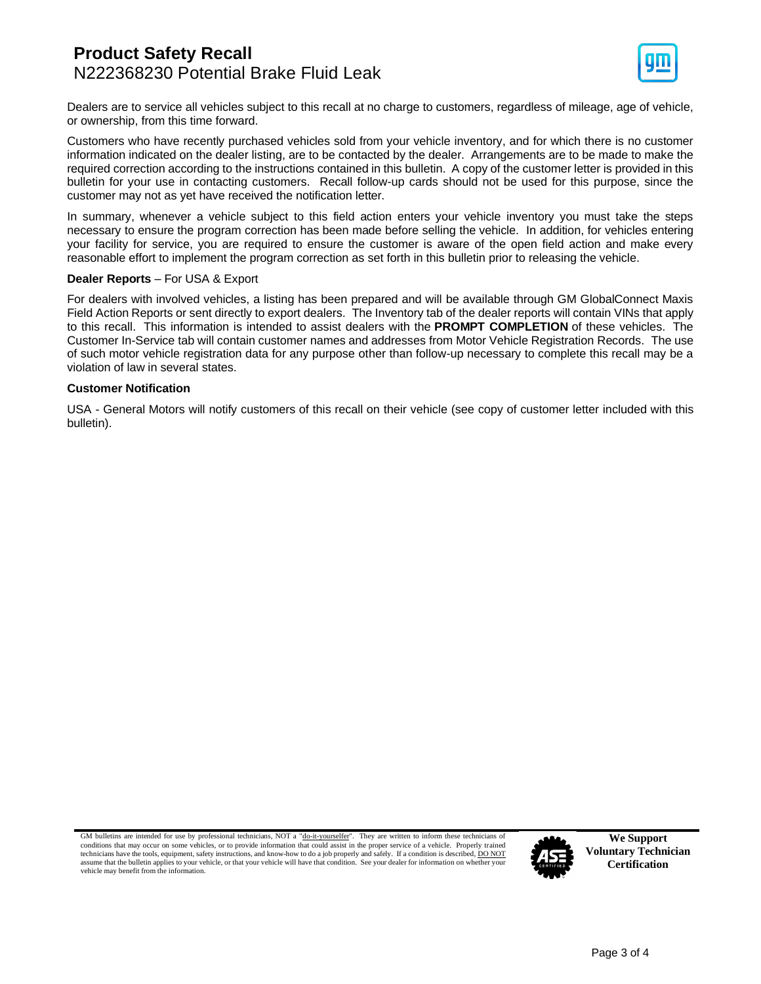## **Product Safety Recall** N222368230 Potential Brake Fluid Leak



Dealers are to service all vehicles subject to this recall at no charge to customers, regardless of mileage, age of vehicle, or ownership, from this time forward.

Customers who have recently purchased vehicles sold from your vehicle inventory, and for which there is no customer information indicated on the dealer listing, are to be contacted by the dealer. Arrangements are to be made to make the required correction according to the instructions contained in this bulletin. A copy of the customer letter is provided in this bulletin for your use in contacting customers. Recall follow-up cards should not be used for this purpose, since the customer may not as yet have received the notification letter.

In summary, whenever a vehicle subject to this field action enters your vehicle inventory you must take the steps necessary to ensure the program correction has been made before selling the vehicle. In addition, for vehicles entering your facility for service, you are required to ensure the customer is aware of the open field action and make every reasonable effort to implement the program correction as set forth in this bulletin prior to releasing the vehicle.

#### **Dealer Reports** – For USA & Export

For dealers with involved vehicles, a listing has been prepared and will be available through GM GlobalConnect Maxis Field Action Reports or sent directly to export dealers. The Inventory tab of the dealer reports will contain VINs that apply to this recall. This information is intended to assist dealers with the **PROMPT COMPLETION** of these vehicles. The Customer In-Service tab will contain customer names and addresses from Motor Vehicle Registration Records. The use of such motor vehicle registration data for any purpose other than follow-up necessary to complete this recall may be a violation of law in several states.

#### **Customer Notification**

USA - General Motors will notify customers of this recall on their vehicle (see copy of customer letter included with this bulletin).

GM bulletins are intended for use by professional technicians, NOT a "do-it-yourselfer". They are written to inform these technicians of conditions that may occur on some vehicles, or to provide information that could assist in the proper service of a vehicle. Properly trained technicians have the tools, equipment, safety instructions, and know-how to do a job properly and safely. If a condition is described, DO NOT assume that the bulletin applies to your vehicle, or that your vehicle will have that condition. See your dealer for information on whether your vehicle may benefit from the information.



**We Support Voluntary Technician Certification**